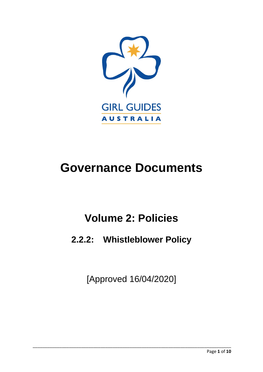

# **Governance Documents**

# **Volume 2: Policies**

# **2.2.2: Whistleblower Policy**

[Approved 16/04/2020]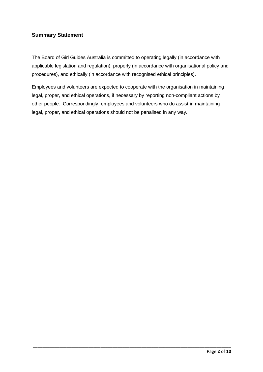# **Summary Statement**

The Board of Girl Guides Australia is committed to operating legally (in accordance with applicable legislation and regulation), properly (in accordance with organisational policy and procedures), and ethically (in accordance with recognised ethical principles).

Employees and volunteers are expected to cooperate with the organisation in maintaining legal, proper, and ethical operations, if necessary by reporting non-compliant actions by other people. Correspondingly, employees and volunteers who do assist in maintaining legal, proper, and ethical operations should not be penalised in any way.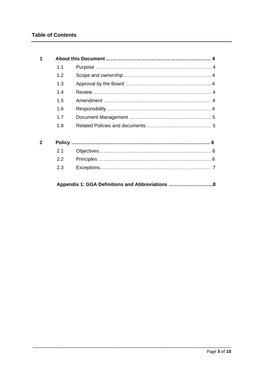| 1            |     |                                                 |  |
|--------------|-----|-------------------------------------------------|--|
|              | 1.1 |                                                 |  |
|              | 1.2 |                                                 |  |
|              | 1.3 |                                                 |  |
|              | 1.4 |                                                 |  |
|              | 1.5 |                                                 |  |
|              | 1.6 |                                                 |  |
|              | 1.7 |                                                 |  |
|              | 1.8 |                                                 |  |
| $\mathbf{2}$ |     |                                                 |  |
|              | 2.1 |                                                 |  |
|              | 2.2 |                                                 |  |
|              | 2.3 |                                                 |  |
|              |     | Appendix 1: GGA Definitions and Abbreviations 8 |  |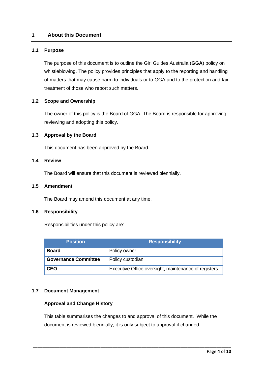# **1 About this Document**

#### **1.1 Purpose**

The purpose of this document is to outline the Girl Guides Australia (**GGA**) policy on whistleblowing. The policy provides principles that apply to the reporting and handling of matters that may cause harm to individuals or to GGA and to the protection and fair treatment of those who report such matters.

#### **1.2 Scope and Ownership**

The owner of this policy is the Board of GGA. The Board is responsible for approving, reviewing and adopting this policy.

#### **1.3 Approval by the Board**

This document has been approved by the Board.

#### **1.4 Review**

The Board will ensure that this document is reviewed biennially.

#### **1.5 Amendment**

The Board may amend this document at any time.

#### **1.6 Responsibility**

Responsibilities under this policy are:

| <b>Position</b>             | <b>Responsibility</b>                                |  |  |
|-----------------------------|------------------------------------------------------|--|--|
| <b>Board</b>                | Policy owner                                         |  |  |
| <b>Governance Committee</b> | Policy custodian                                     |  |  |
| <b>CEO</b>                  | Executive Office oversight, maintenance of registers |  |  |

#### **1.7 Document Management**

#### **Approval and Change History**

This table summarises the changes to and approval of this document. While the document is reviewed biennially, it is only subject to approval if changed.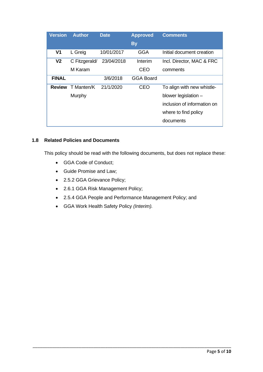| <b>Version</b> | <b>Author</b> | <b>Date</b> | <b>Approved</b>  | <b>Comments</b>             |
|----------------|---------------|-------------|------------------|-----------------------------|
|                |               |             | <b>By</b>        |                             |
| V <sub>1</sub> | L Greig       | 10/01/2017  | GGA              | Initial document creation   |
| V <sub>2</sub> | C Fitzgerald/ | 23/04/2018  | Interim          | Incl. Director, MAC & FRC   |
|                | M Karam       |             | CEO              | comments                    |
| <b>FINAL</b>   |               | 3/6/2018    | <b>GGA Board</b> |                             |
| <b>Review</b>  | T Manten/K    | 21/1/2020   | CEO              | To align with new whistle-  |
|                | Murphy        |             |                  | blower legislation -        |
|                |               |             |                  | inclusion of information on |
|                |               |             |                  | where to find policy        |
|                |               |             |                  | documents                   |

# **1.8 Related Policies and Documents**

This policy should be read with the following documents, but does not replace these:

- GGA Code of Conduct;
- Guide Promise and Law;
- 2.5.2 GGA Grievance Policy;
- 2.6.1 GGA Risk Management Policy;
- 2.5.4 GGA People and Performance Management Policy; and

\_\_\_\_\_\_\_\_\_\_\_\_\_\_\_\_\_\_\_\_\_\_\_\_\_\_\_\_\_\_\_\_\_\_\_\_\_\_\_\_\_\_\_\_\_\_\_\_\_\_\_\_\_\_\_\_\_\_\_\_\_\_\_\_\_\_\_\_\_\_\_\_\_\_\_\_\_\_\_\_\_\_

• GGA Work Health Safety Policy *(Interim).*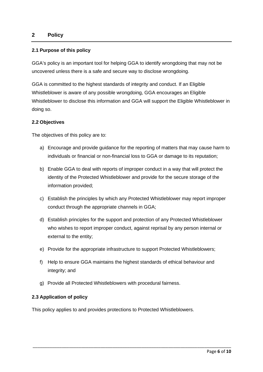# **2 Policy**

### **2.1 Purpose of this policy**

GGA's policy is an important tool for helping GGA to identify wrongdoing that may not be uncovered unless there is a safe and secure way to disclose wrongdoing.

GGA is committed to the highest standards of integrity and conduct. If an Eligible Whistleblower is aware of any possible wrongdoing, GGA encourages an Eligible Whistleblower to disclose this information and GGA will support the Eligible Whistleblower in doing so.

### **2.2 Objectives**

The objectives of this policy are to:

- a) Encourage and provide guidance for the reporting of matters that may cause harm to individuals or financial or non-financial loss to GGA or damage to its reputation;
- b) Enable GGA to deal with reports of improper conduct in a way that will protect the identity of the Protected Whistleblower and provide for the secure storage of the information provided;
- c) Establish the principles by which any Protected Whistleblower may report improper conduct through the appropriate channels in GGA;
- d) Establish principles for the support and protection of any Protected Whistleblower who wishes to report improper conduct, against reprisal by any person internal or external to the entity;
- e) Provide for the appropriate infrastructure to support Protected Whistleblowers;
- f) Help to ensure GGA maintains the highest standards of ethical behaviour and integrity; and

\_\_\_\_\_\_\_\_\_\_\_\_\_\_\_\_\_\_\_\_\_\_\_\_\_\_\_\_\_\_\_\_\_\_\_\_\_\_\_\_\_\_\_\_\_\_\_\_\_\_\_\_\_\_\_\_\_\_\_\_\_\_\_\_\_\_\_\_\_\_\_\_\_\_\_\_\_\_\_\_\_\_

g) Provide all Protected Whistleblowers with procedural fairness.

#### **2.3 Application of policy**

This policy applies to and provides protections to Protected Whistleblowers.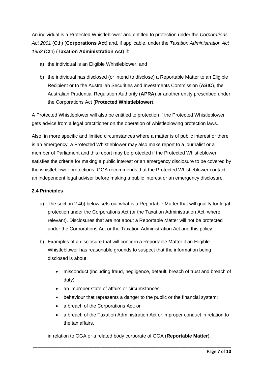An individual is a Protected Whistleblower and entitled to protection under the *Corporations Act 2001* (Cth) (**Corporations Act**) and, if applicable, under the *Taxation Administration Act 1953* (Cth) (**Taxation Administration Act**) if:

- a) the individual is an Eligible Whistleblower; and
- b) the individual has disclosed (or intend to disclose) a Reportable Matter to an Eligible Recipient or to the Australian Securities and Investments Commission (**ASIC**), the Australian Prudential Regulation Authority (**APRA**) or another entity prescribed under the Corporations Act (**Protected Whistleblower**).

A Protected Whistleblower will also be entitled to protection if the Protected Whistleblower gets advice from a legal practitioner on the operation of whistleblowing protection laws.

Also, in more specific and limited circumstances where a matter is of public interest or there is an emergency, a Protected Whistleblower may also make report to a journalist or a member of Parliament and this report may be protected if the Protected Whistleblower satisfies the criteria for making a public interest or an emergency disclosure to be covered by the whistleblower protections. GGA recommends that the Protected Whistleblower contact an independent legal adviser before making a public interest or an emergency disclosure.

# **2.4 Principles**

- a) The section 2.4b) below sets out what is a Reportable Matter that will qualify for legal protection under the Corporations Act (or the Taxation Administration Act, where relevant). Disclosures that are not about a Reportable Matter will not be protected under the Corporations Act or the Taxation Administration Act and this policy.
- b) Examples of a disclosure that will concern a Reportable Matter if an Eligible Whistleblower has reasonable grounds to suspect that the information being disclosed is about:
	- misconduct (including fraud, negligence, default, breach of trust and breach of duty);
	- an improper state of affairs or circumstances:
	- behaviour that represents a danger to the public or the financial system;
	- a breach of the Corporations Act; or
	- a breach of the Taxation Administration Act or improper conduct in relation to the tax affairs,

in relation to GGA or a related body corporate of GGA (**Reportable Matter**).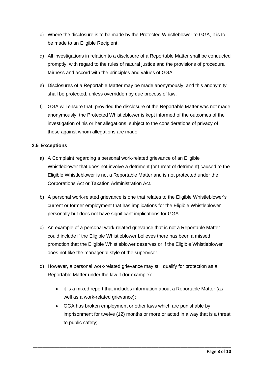- c) Where the disclosure is to be made by the Protected Whistleblower to GGA, it is to be made to an Eligible Recipient.
- d) All investigations in relation to a disclosure of a Reportable Matter shall be conducted promptly, with regard to the rules of natural justice and the provisions of procedural fairness and accord with the principles and values of GGA.
- e) Disclosures of a Reportable Matter may be made anonymously, and this anonymity shall be protected, unless overridden by due process of law.
- f) GGA will ensure that, provided the disclosure of the Reportable Matter was not made anonymously, the Protected Whistleblower is kept informed of the outcomes of the investigation of his or her allegations, subject to the considerations of privacy of those against whom allegations are made.

# **2.5 Exceptions**

- a) A Complaint regarding a personal work-related grievance of an Eligible Whistleblower that does not involve a detriment (or threat of detriment) caused to the Eligible Whistleblower is not a Reportable Matter and is not protected under the Corporations Act or Taxation Administration Act.
- b) A personal work-related grievance is one that relates to the Eligible Whistleblower's current or former employment that has implications for the Eligible Whistleblower personally but does not have significant implications for GGA.
- c) An example of a personal work-related grievance that is not a Reportable Matter could include if the Eligible Whistleblower believes there has been a missed promotion that the Eligible Whistleblower deserves or if the Eligible Whistleblower does not like the managerial style of the supervisor.
- d) However, a personal work-related grievance may still qualify for protection as a Reportable Matter under the law if (for example):

- it is a mixed report that includes information about a Reportable Matter (as well as a work-related grievance);
- GGA has broken employment or other laws which are punishable by imprisonment for twelve (12) months or more or acted in a way that is a threat to public safety;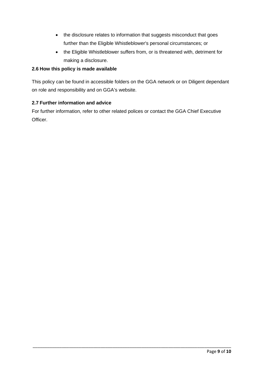- the disclosure relates to information that suggests misconduct that goes further than the Eligible Whistleblower's personal circumstances; or
- the Eligible Whistleblower suffers from, or is threatened with, detriment for making a disclosure.

# **2.6 How this policy is made available**

This policy can be found in accessible folders on the GGA network or on Diligent dependant on role and responsibility and on GGA's website.

# **2.7 Further information and advice**

For further information, refer to other related polices or contact the GGA Chief Executive Officer.